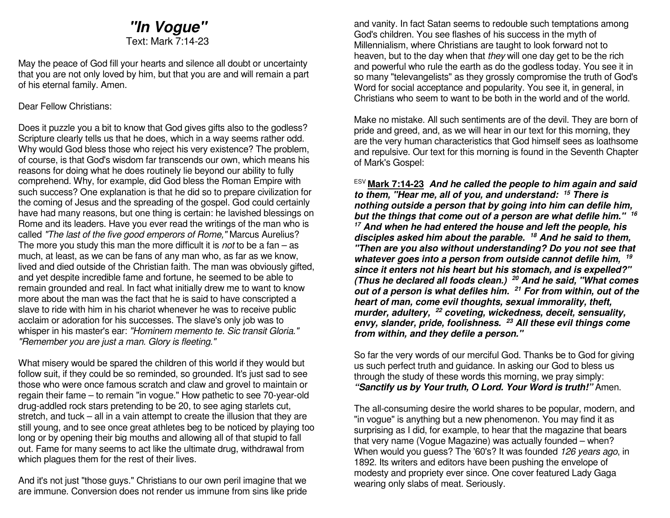## *"In Vogue"*Text: Mark 7:14-23

May the peace of God fill your hearts and silence all doubt or uncertainty that you are not only loved by him, but that you are and will remain a part of his eternal family. Amen.

#### Dear Fellow Christians:

Does it puzzle you a bit to know that God gives gifts also to the godless? Scripture clearly tells us that he does, which in a way seems rather odd. Why would God bless those who reject his very existence? The problem, of course, is that God's wisdom far transcends our own, which means his reasons for doing what he does routinely lie beyond our ability to fully comprehend. Why, for example, did God bless the Roman Empire with such success? One explanation is that he did so to prepare civilization for the coming of Jesus and the spreading of the gospel. God could certainly have had many reasons, but one thing is certain: he lavished blessings on Rome and its leaders. Have you ever read the writings of the man who is called "The last of the five good emperors of Rome," Marcus Aurelius? The more you study this man the more difficult it is not to be a fan – as much, at least, as we can be fans of any man who, as far as we know, lived and died outside of the Christian faith. The man was obviously gifted, and yet despite incredible fame and fortune, he seemed to be able to remain grounded and real. In fact what initially drew me to want to know more about the man was the fact that he is said to have conscripted a slave to ride with him in his chariot whenever he was to receive public acclaim or adoration for his successes. The slave's only job was to whisper in his master's ear: "Hominem memento te. Sic transit Gloria." "Remember you are just a man. Glory is fleeting."

What misery would be spared the children of this world if they would but follow suit, if they could be so reminded, so grounded. It's just sad to see those who were once famous scratch and claw and grovel to maintain or regain their fame – to remain "in vogue." How pathetic to see 70-year-old drug-addled rock stars pretending to be 20, to see aging starlets cut, stretch, and tuck – all in a vain attempt to create the illusion that they are still young, and to see once great athletes beg to be noticed by playing too long or by opening their big mouths and allowing all of that stupid to fall out. Fame for many seems to act like the ultimate drug, withdrawal from which plagues them for the rest of their lives.

And it's not just "those guys." Christians to our own peril imagine that we are immune. Conversion does not render us immune from sins like pride and vanity. In fact Satan seems to redouble such temptations among God's children. You see flashes of his success in the myth of Millennialism, where Christians are taught to look forward not to heaven, but to the day when that they will one day get to be the rich and powerful who rule the earth as do the godless today. You see it in so many "televangelists" as they grossly compromise the truth of God's Word for social acceptance and popularity. You see it, in general, in Christians who seem to want to be both in the world and of the world.

Make no mistake. All such sentiments are of the devil. They are born of pride and greed, and, as we will hear in our text for this morning, they are the very human characteristics that God himself sees as loathsome and repulsive. Our text for this morning is found in the Seventh Chapter of Mark's Gospel:

ESV **Mark 7:14-23** *And he called the people to him again and said to them, "Hear me, all of you, and understand: <sup>15</sup> There is nothing outside a person that by going into him can defile him, but the things that come out of a person are what defile him." <sup>16</sup> 17 And when he had entered the house and left the people, his disciples asked him about the parable. 18 And he said to them, "Then are you also without understanding? Do you not see that whatever goes into a person from outside cannot defile him, <sup>19</sup> since it enters not his heart but his stomach, and is expelled?" (Thus he declared all foods clean.) 20 And he said, "What comes out of a person is what defiles him. 21 For from within, out of the heart of man, come evil thoughts, sexual immorality, theft, murder, adultery, 22 coveting, wickedness, deceit, sensuality, envy, slander, pride, foolishness. 23 All these evil things come from within, and they defile a person."*

So far the very words of our merciful God. Thanks be to God for giving us such perfect truth and guidance. In asking our God to bless us through the study of these words this morning, we pray simply: *"Sanctify us by Your truth, O Lord. Your Word is truth!"* Amen.

The all-consuming desire the world shares to be popular, modern, and "in vogue" is anything but a new phenomenon. You may find it as surprising as I did, for example, to hear that the magazine that bears that very name (Vogue Magazine) was actually founded – when? When would you guess? The '60's? It was founded 126 years ago, in 1892. Its writers and editors have been pushing the envelope of modesty and propriety ever since. One cover featured Lady Gaga wearing only slabs of meat. Seriously.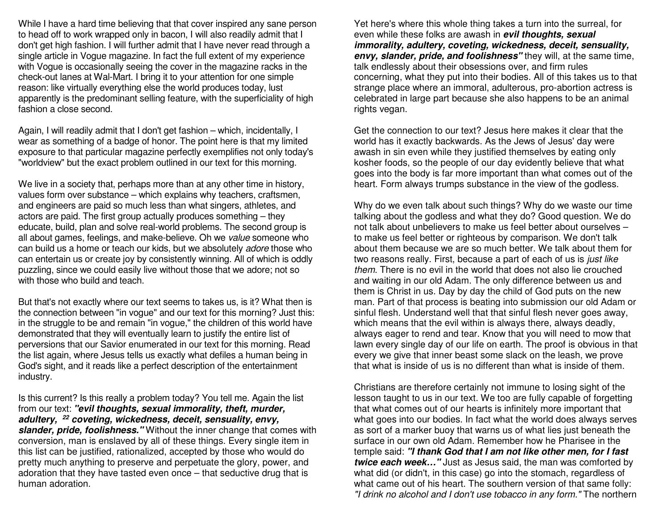While I have a hard time believing that that cover inspired any sane person to head off to work wrapped only in bacon, I will also readily admit that I don't get high fashion. I will further admit that I have never read through a single article in Vogue magazine. In fact the full extent of my experience with Vogue is occasionally seeing the cover in the magazine racks in the check-out lanes at Wal-Mart. I bring it to your attention for one simple reason: like virtually everything else the world produces today, lust apparently is the predominant selling feature, with the superficiality of high fashion a close second.

Again, I will readily admit that I don't get fashion – which, incidentally, I wear as something of a badge of honor. The point here is that my limited exposure to that particular magazine perfectly exemplifies not only today's "worldview" but the exact problem outlined in our text for this morning.

We live in a society that, perhaps more than at any other time in history, values form over substance – which explains why teachers, craftsmen, and engineers are paid so much less than what singers, athletes, and actors are paid. The first group actually produces something – they educate, build, plan and solve real-world problems. The second group is all about games, feelings, and make-believe. Oh we value someone who can build us a home or teach our kids, but we absolutely adore those who can entertain us or create joy by consistently winning. All of which is oddly puzzling, since we could easily live without those that we adore; not so with those who build and teach.

But that's not exactly where our text seems to takes us, is it? What then is the connection between "in vogue" and our text for this morning? Just this: in the struggle to be and remain "in vogue," the children of this world have demonstrated that they will eventually learn to justify the entire list of perversions that our Savior enumerated in our text for this morning. Read the list again, where Jesus tells us exactly what defiles a human being in God's sight, and it reads like a perfect description of the entertainment industry.

Is this current? Is this really a problem today? You tell me. Again the list from our text: *"evil thoughts, sexual immorality, theft, murder, adultery, 22 coveting, wickedness, deceit, sensuality, envy, slander, pride, foolishness."* Without the inner change that comes with conversion, man is enslaved by all of these things. Every single item in this list can be justified, rationalized, accepted by those who would do pretty much anything to preserve and perpetuate the glory, power, and adoration that they have tasted even once – that seductive drug that is human adoration.

Yet here's where this whole thing takes a turn into the surreal, for even while these folks are awash in *evil thoughts, sexual immorality, adultery, coveting, wickedness, deceit, sensuality, envy, slander, pride, and foolishness"* they will, at the same time, talk endlessly about their obsessions over, and firm rules concerning, what they put into their bodies. All of this takes us to that strange place where an immoral, adulterous, pro-abortion actress is celebrated in large part because she also happens to be an animal rights vegan.

Get the connection to our text? Jesus here makes it clear that the world has it exactly backwards. As the Jews of Jesus' day were awash in sin even while they justified themselves by eating only kosher foods, so the people of our day evidently believe that what goes into the body is far more important than what comes out of the heart. Form always trumps substance in the view of the godless.

Why do we even talk about such things? Why do we waste our time talking about the godless and what they do? Good question. We do not talk about unbelievers to make us feel better about ourselves – to make us feel better or righteous by comparison. We don't talk about them because we are so much better. We talk about them for two reasons really. First, because a part of each of us is just like them. There is no evil in the world that does not also lie crouched and waiting in our old Adam. The only difference between us and them is Christ in us. Day by day the child of God puts on the new man. Part of that process is beating into submission our old Adam or sinful flesh. Understand well that that sinful flesh never goes away, which means that the evil within is always there, always deadly, always eager to rend and tear. Know that you will need to mow that lawn every single day of our life on earth. The proof is obvious in that every we give that inner beast some slack on the leash, we prove that what is inside of us is no different than what is inside of them.

Christians are therefore certainly not immune to losing sight of the lesson taught to us in our text. We too are fully capable of forgetting that what comes out of our hearts is infinitely more important that what goes into our bodies. In fact what the world does always serves as sort of a marker buoy that warns us of what lies just beneath the surface in our own old Adam. Remember how he Pharisee in the temple said: *"I thank God that I am not like other men, for I fast twice each week…"* Just as Jesus said, the man was comforted by what did (or didn't, in this case) go into the stomach, regardless of what came out of his heart. The southern version of that same folly: "I drink no alcohol and I don't use tobacco in any form." The northern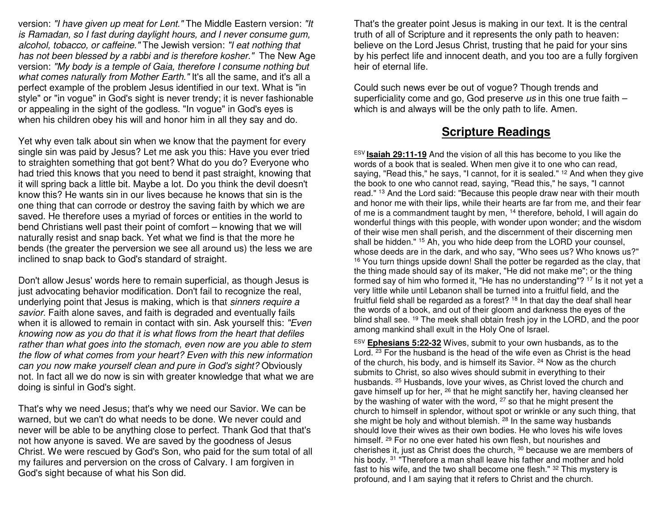version: "I have given up meat for Lent." The Middle Eastern version: "It is Ramadan, so I fast during daylight hours, and I never consume gum, alcohol, tobacco, or caffeine." The Jewish version: "I eat nothing that has not been blessed by a rabbi and is therefore kosher." The New Age version: "My body is a temple of Gaia, therefore I consume nothing but what comes naturally from Mother Earth." It's all the same, and it's all a perfect example of the problem Jesus identified in our text. What is "in style" or "in vogue" in God's sight is never trendy; it is never fashionable or appealing in the sight of the godless. "In vogue" in God's eyes is when his children obey his will and honor him in all they say and do.

Yet why even talk about sin when we know that the payment for every single sin was paid by Jesus? Let me ask you this: Have you ever tried to straighten something that got bent? What do you do? Everyone who had tried this knows that you need to bend it past straight, knowing that it will spring back a little bit. Maybe a lot. Do you think the devil doesn't know this? He wants sin in our lives because he knows that sin is the one thing that can corrode or destroy the saving faith by which we are saved. He therefore uses a myriad of forces or entities in the world to bend Christians well past their point of comfort – knowing that we will naturally resist and snap back. Yet what we find is that the more he bends (the greater the perversion we see all around us) the less we are inclined to snap back to God's standard of straight.

Don't allow Jesus' words here to remain superficial, as though Jesus is just advocating behavior modification. Don't fail to recognize the real, underlying point that Jesus is making, which is that sinners require a savior. Faith alone saves, and faith is degraded and eventually fails when it is allowed to remain in contact with sin. Ask yourself this: "Even knowing now as you do that it is what flows from the heart that defiles rather than what goes into the stomach, even now are you able to stem the flow of what comes from your heart? Even with this new information can you now make yourself clean and pure in God's sight? Obviously not. In fact all we do now is sin with greater knowledge that what we are doing is sinful in God's sight.

That's why we need Jesus; that's why we need our Savior. We can be warned, but we can't do what needs to be done. We never could and never will be able to be anything close to perfect. Thank God that that's not how anyone is saved. We are saved by the goodness of Jesus Christ. We were rescued by God's Son, who paid for the sum total of all my failures and perversion on the cross of Calvary. I am forgiven in God's sight because of what his Son did.

That's the greater point Jesus is making in our text. It is the central truth of all of Scripture and it represents the only path to heaven: believe on the Lord Jesus Christ, trusting that he paid for your sins by his perfect life and innocent death, and you too are a fully forgiven heir of eternal life.

Could such news ever be out of vogue? Though trends and superficiality come and go, God preserve us in this one true faith which is and always will be the only path to life. Amen.

## **Scripture Readings**

ESV **Isaiah 29:11-19** And the vision of all this has become to you like the words of a book that is sealed. When men give it to one who can read, saying, "Read this," he says, "I cannot, for it is sealed." <sup>12</sup> And when they give the book to one who cannot read, saying, "Read this," he says, "I cannot read." <sup>13</sup> And the Lord said: "Because this people draw near with their mouth and honor me with their lips, while their hearts are far from me, and their fear of me is a commandment taught by men, 14 therefore, behold, I will again do wonderful things with this people, with wonder upon wonder; and the wisdom of their wise men shall perish, and the discernment of their discerning men shall be hidden." 15 Ah, you who hide deep from the LORD your counsel, whose deeds are in the dark, and who say, "Who sees us? Who knows us?" <sup>16</sup> You turn things upside down! Shall the potter be regarded as the clay, that the thing made should say of its maker, "He did not make me"; or the thing formed say of him who formed it, "He has no understanding"?<sup>17</sup> Is it not yet a very little while until Lebanon shall be turned into a fruitful field, and the fruitful field shall be regarded as a forest? <sup>18</sup> In that day the deaf shall hear the words of a book, and out of their gloom and darkness the eyes of the blind shall see. <sup>19</sup> The meek shall obtain fresh joy in the LORD, and the poor among mankind shall exult in the Holy One of Israel.

ESV **Ephesians 5:22-32** Wives, submit to your own husbands, as to the Lord.  $23$  For the husband is the head of the wife even as Christ is the head of the church, his body, and is himself its Savior. <sup>24</sup> Now as the church submits to Christ, so also wives should submit in everything to their husbands. <sup>25</sup> Husbands, love your wives, as Christ loved the church and gave himself up for her, <sup>26</sup> that he might sanctify her, having cleansed her by the washing of water with the word, <sup>27</sup> so that he might present the church to himself in splendor, without spot or wrinkle or any such thing, that she might be holy and without blemish. <sup>28</sup> In the same way husbands should love their wives as their own bodies. He who loves his wife loves himself. <sup>29</sup> For no one ever hated his own flesh, but nourishes and cherishes it, just as Christ does the church, <sup>30</sup> because we are members of his body. <sup>31</sup> "Therefore a man shall leave his father and mother and hold fast to his wife, and the two shall become one flesh." 32 This mystery is profound, and I am saying that it refers to Christ and the church.